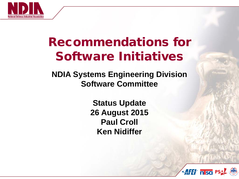

## Recommendations for Software Initiatives

**NDIA Systems Engineering Division Software Committee**

> **Status Update 26 August 2015 Paul Croll Ken Nidiffer**

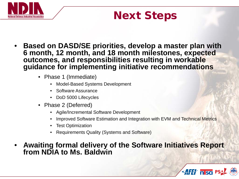

## Next Steps

- **Based on DASD/SE priorities, develop a master plan with 6 month, 12 month, and 18 month milestones, expected outcomes, and responsibilities resulting in workable guidance for implementing initiative recommendations**
	- Phase 1 (Immediate)
		- Model-Based Systems Development
		- Software Assurance
		- DoD 5000 Lifecycles
	- Phase 2 (Deferred)
		- Agile/Incremental Software Development
		- Improved Software Estimation and Integration with EVM and Technical Metrics
		- Test Optimization
		- Requirements Quality (Systems and Software)
- **Awaiting formal delivery of the Software Initiatives Report from NDIA to Ms. Baldwin**

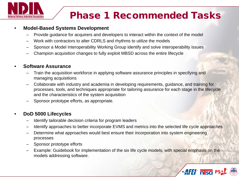

### Phase 1 Recommended Tasks

#### • **Model-Based Systems Development**

- Provide guidance for acquirers and developers to interact within the context of the model
- Work with contractors to alter CDRLS and rhythms to utilize the models
- Sponsor a Model Interoperability Working Group identify and solve interoperability issues
- Champion acquisition changes to fully exploit MBSD across the entire lifecycle

#### • **Software Assurance**

- Train the acquisition workforce in applying software assurance principles in specifying and managing acquisitions
- Collaborate with industry and academia in developing requirements, guidance, and training for processes, tools, and techniques appropriate for tailoring assurance for each stage in the lifecycle and the characteristics of the system acquisition
- Sponsor prototype efforts, as appropriate.

#### • **DoD 5000 Lifecycles**

- Identify tailorable decision criteria for program leaders
- Identify approaches to better incorporate EVMS and metrics into the selected life cycle approaches
- Determine what approaches would best ensure their incorporation into system engineering processes
- Sponsor prototype efforts
- Example: Guidebook for implementation of the six life cycle models, with special emphasis on the models addressing software.